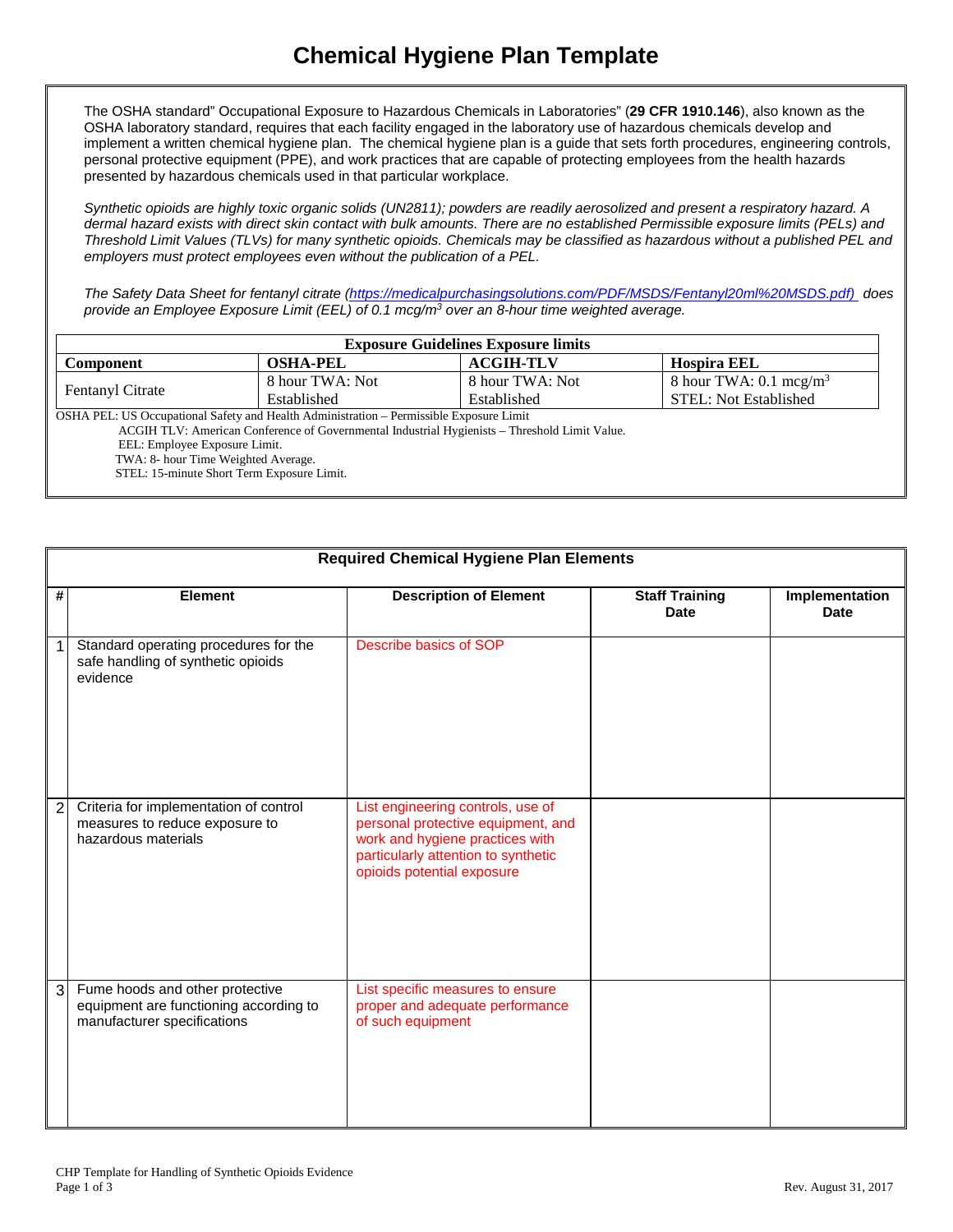The OSHA standard" Occupational Exposure to Hazardous Chemicals in Laboratories" (**29 CFR 1910.146**), also known as the OSHA laboratory standard, requires that each facility engaged in the laboratory use of hazardous chemicals develop and implement a written chemical hygiene plan. The chemical hygiene plan is a guide that sets forth procedures, engineering controls, personal protective equipment (PPE), and work practices that are capable of protecting employees from the health hazards presented by hazardous chemicals used in that particular workplace.

*Synthetic opioids are highly toxic organic solids (UN2811); powders are readily aerosolized and present a respiratory hazard. A dermal hazard exists with direct skin contact with bulk amounts. There are no established Permissible exposure limits (PELs) and Threshold Limit Values (TLVs) for many synthetic opioids. Chemicals may be classified as hazardous without a published PEL and employers must protect employees even without the publication of a PEL.*

*The Safety Data Sheet for fentanyl citrate [\(https://medicalpurchasingsolutions.com/PDF/MSDS/Fentanyl20ml%20MSDS.pdf\)](https://medicalpurchasingsolutions.com/PDF/MSDS/Fentanyl20ml%20MSDS.pdf)) does provide an Employee Exposure Limit (EEL) of 0.1 mcg/m3 over an 8-hour time weighted average.*

| <b>Exposure Guidelines Exposure limits</b>                                              |                 |                  |                                   |
|-----------------------------------------------------------------------------------------|-----------------|------------------|-----------------------------------|
| Component                                                                               | <b>OSHA-PEL</b> | <b>ACGIH-TLV</b> | <b>Hospira EEL</b>                |
|                                                                                         | 8 hour TWA: Not | 8 hour TWA: Not  | 8 hour TWA: $0.1 \text{~mcg/m}^3$ |
| <b>Fentanyl Citrate</b>                                                                 | Established     | Established      | STEL: Not Established             |
| OSHA PEL: US Occupational Safety and Health Administration – Permissible Exposure Limit |                 |                  |                                   |

ACGIH TLV: American Conference of Governmental Industrial Hygienists – Threshold Limit Value.

EEL: Employee Exposure Limit.

TWA: 8- hour Time Weighted Average.

STEL: 15-minute Short Term Exposure Limit.

|   | <b>Required Chemical Hygiene Plan Elements</b>                                                           |                                                                                                                                                                                 |                                      |                               |
|---|----------------------------------------------------------------------------------------------------------|---------------------------------------------------------------------------------------------------------------------------------------------------------------------------------|--------------------------------------|-------------------------------|
| # | Element                                                                                                  | <b>Description of Element</b>                                                                                                                                                   | <b>Staff Training</b><br><b>Date</b> | Implementation<br><b>Date</b> |
|   | Standard operating procedures for the<br>safe handling of synthetic opioids<br>evidence                  | Describe basics of SOP                                                                                                                                                          |                                      |                               |
|   | Criteria for implementation of control<br>measures to reduce exposure to<br>hazardous materials          | List engineering controls, use of<br>personal protective equipment, and<br>work and hygiene practices with<br>particularly attention to synthetic<br>opioids potential exposure |                                      |                               |
| 3 | Fume hoods and other protective<br>equipment are functioning according to<br>manufacturer specifications | List specific measures to ensure<br>proper and adequate performance<br>of such equipment                                                                                        |                                      |                               |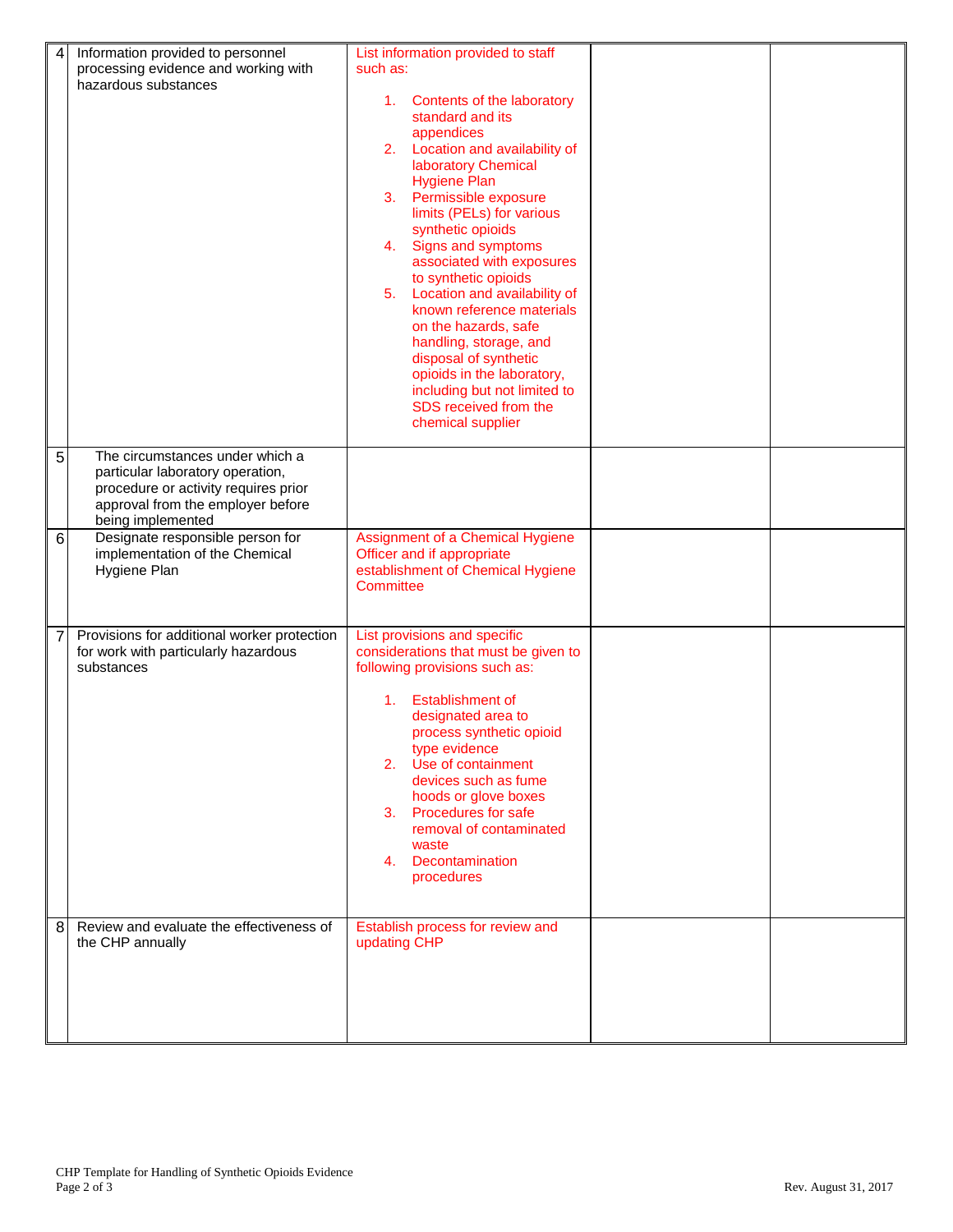| 4              | Information provided to personnel<br>processing evidence and working with<br>hazardous substances                                                                     | List information provided to staff<br>such as:<br>1. Contents of the laboratory<br>standard and its<br>appendices<br>Location and availability of<br>2.<br>laboratory Chemical<br><b>Hygiene Plan</b><br>3. Permissible exposure<br>limits (PELs) for various<br>synthetic opioids<br>Signs and symptoms<br>4.<br>associated with exposures<br>to synthetic opioids<br>Location and availability of<br>5.<br>known reference materials<br>on the hazards, safe<br>handling, storage, and<br>disposal of synthetic<br>opioids in the laboratory,<br>including but not limited to<br>SDS received from the<br>chemical supplier |  |
|----------------|-----------------------------------------------------------------------------------------------------------------------------------------------------------------------|-------------------------------------------------------------------------------------------------------------------------------------------------------------------------------------------------------------------------------------------------------------------------------------------------------------------------------------------------------------------------------------------------------------------------------------------------------------------------------------------------------------------------------------------------------------------------------------------------------------------------------|--|
| 5              | The circumstances under which a<br>particular laboratory operation,<br>procedure or activity requires prior<br>approval from the employer before<br>being implemented |                                                                                                                                                                                                                                                                                                                                                                                                                                                                                                                                                                                                                               |  |
| 6              | Designate responsible person for<br>implementation of the Chemical<br>Hygiene Plan                                                                                    | Assignment of a Chemical Hygiene<br>Officer and if appropriate<br>establishment of Chemical Hygiene<br>Committee                                                                                                                                                                                                                                                                                                                                                                                                                                                                                                              |  |
| $\overline{7}$ | Provisions for additional worker protection<br>for work with particularly hazardous<br>substances                                                                     | List provisions and specific<br>considerations that must be given to<br>following provisions such as:<br><b>Establishment of</b><br>1.<br>designated area to<br>process synthetic opioid<br>type evidence<br>2. Use of containment<br>devices such as fume<br>hoods or glove boxes<br><b>Procedures for safe</b><br>3.<br>removal of contaminated<br>waste<br>Decontamination<br>4.<br>procedures                                                                                                                                                                                                                             |  |
| 8              | Review and evaluate the effectiveness of<br>the CHP annually                                                                                                          | Establish process for review and<br>updating CHP                                                                                                                                                                                                                                                                                                                                                                                                                                                                                                                                                                              |  |